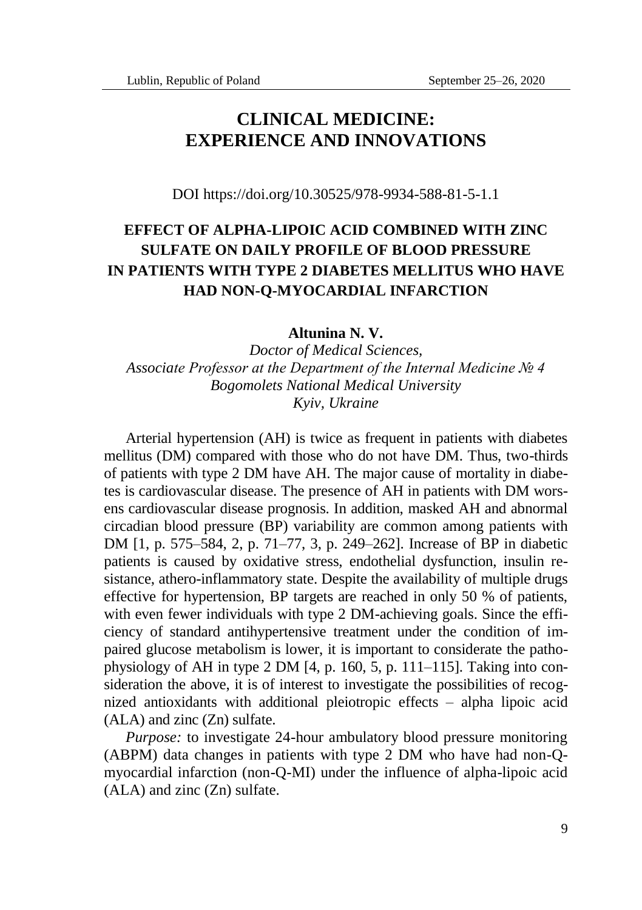# **CLINICAL MEDICINE: EXPERIENCE AND INNOVATIONS**

DOI https://doi.org/10.30525/978-9934-588-81-5-1.1

# **EFFECT OF ALPHA-LIPOIC ACID COMBINED WITH ZINC SULFATE ON DAILY PROFILE OF BLOOD PRESSURE IN PATIENTS WITH TYPE 2 DIABETES MELLITUS WHO HAVE HAD NON-Q-MYOCARDIAL INFARCTION**

**Altunina N. V.**

*Doctor of Medical Sciences, Associate Professor at the Department of the Internal Medicine № 4 Bogomolets National Medical University Kyiv, Ukraine*

Arterial hypertension (AH) is twice as frequent in patients with diabetes mellitus (DM) compared with those who do not have DM. Thus, two-thirds of patients with type 2 DM have AH. The major cause of mortality in diabetes is cardiovascular disease. The presence of AH in patients with DM worsens cardiovascular disease prognosis. In addition, masked AH and abnormal circadian blood pressure (BP) variability are common among patients with DM [1, p. 575–584, 2, p. 71–77, 3, p. 249–262]. Increase of BP in diabetic patients is caused by oxidative stress, endothelial dysfunction, insulin resistance, athero-inflammatory state. Despite the availability of multiple drugs effective for hypertension, BP targets are reached in only 50 % of patients, with even fewer individuals with type 2 DM-achieving goals. Since the efficiency of standard antihypertensive treatment under the condition of impaired glucose metabolism is lower, it is important to considerate the pathophysiology of AH in type 2 DM  $[4, p. 160, 5, p. 111–115]$ . Taking into consideration the above, it is of interest to investigate the possibilities of recognized antioxidants with additional pleiotropic effects – alpha lipoic acid (ALA) and zinc (Zn) sulfate.

*Purpose:* to investigate 24-hour ambulatory blood pressure monitoring (ABPM) data changes in patients with type 2 DM who have had non-Qmyocardial infarction (non-Q-MI) under the influence of alpha-lipoic acid (ALA) and zinc (Zn) sulfate.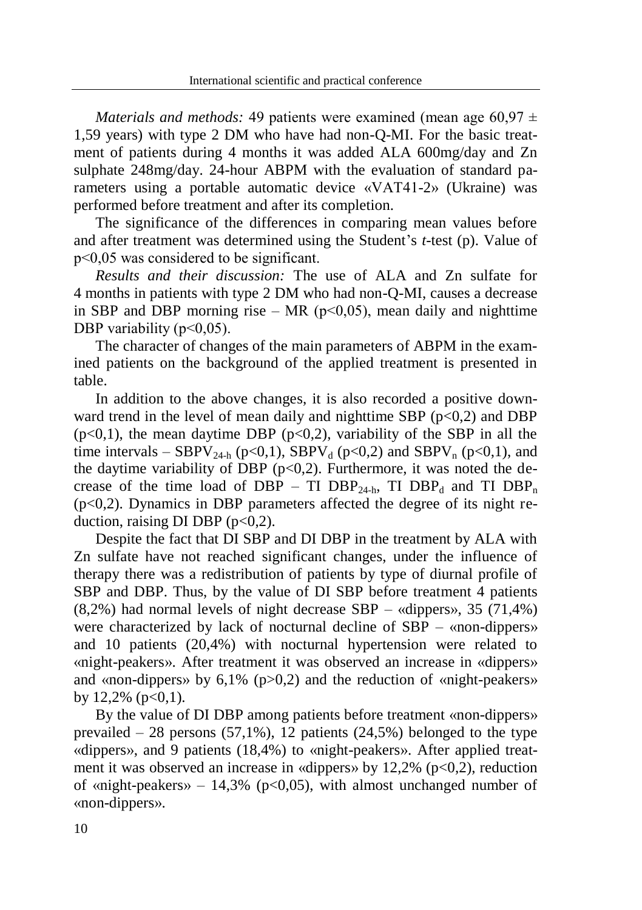*Materials and methods:* 49 patients were examined (mean age 60,97  $\pm$ 1,59 years) with type 2 DM who have had non-Q-MI. For the basic treatment of patients during 4 months it was added ALA 600mg/day and Zn sulphate 248mg/day. 24-hour ABPM with the evaluation of standard parameters using a portable automatic device «VАТ41-2» (Ukraine) was performed before treatment and after its completion.

The significance of the differences in comparing mean values before and after treatment was determined using the Student's *t*-test (p). Value of р<0,05 was considered to be significant.

*Results and their discussion:* The use of ALA and Zn sulfate for 4 months in patients with type 2 DM who had non-Q-MI, causes a decrease in SBP and DBP morning rise – MR ( $p<0,05$ ), mean daily and nighttime DBP variability  $(p<0.05)$ .

The character of changes of the main parameters of ABPM in the examined patients on the background of the applied treatment is presented in table.

In addition to the above changes, it is also recorded a positive downward trend in the level of mean daily and nighttime SBP  $(p<0,2)$  and DBP  $(p<0,1)$ , the mean daytime DBP  $(p<0,2)$ , variability of the SBP in all the time intervals – SBPV<sub>24-h</sub> (p<0,1), SBPV<sub>d</sub> (p<0,2) and SBPV<sub>n</sub> (p<0,1), and the daytime variability of DBP ( $p<0,2$ ). Furthermore, it was noted the decrease of the time load of DBP – TI DBP<sub>24-h</sub>, TI DBP<sub>d</sub> and TI DBP<sub>n</sub> (p<0,2). Dynamics in DBP parameters affected the degree of its night reduction, raising DI DBP  $(p<0.2)$ .

Despite the fact that DI SBP and DI DBP in the treatment by ALA with Zn sulfate have not reached significant changes, under the influence of therapy there was a redistribution of patients by type of diurnal profile of SBP and DBP. Thus, by the value of DI SBP before treatment 4 patients (8,2%) had normal levels of night decrease SBP – «dippers», 35 (71,4%) were characterized by lack of nocturnal decline of SBP – «non-dippers» and 10 patients (20,4%) with nocturnal hypertension were related to «night-peakers». After treatment it was observed an increase in «dippers» and «non-dippers» by  $6.1\%$  (p $>0.2$ ) and the reduction of «night-peakers» by  $12,2\%$  (p<0,1).

By the value of DI DBP among patients before treatment «non-dippers» prevailed  $-28$  persons (57,1%), 12 patients (24,5%) belonged to the type «dippers», and 9 patients (18,4%) to «night-peakers». After applied treatment it was observed an increase in «dippers» by  $12,2\%$  ( $p<0,2$ ), reduction of «night-peakers» – 14,3% ( $p<0.05$ ), with almost unchanged number of «non-dippers».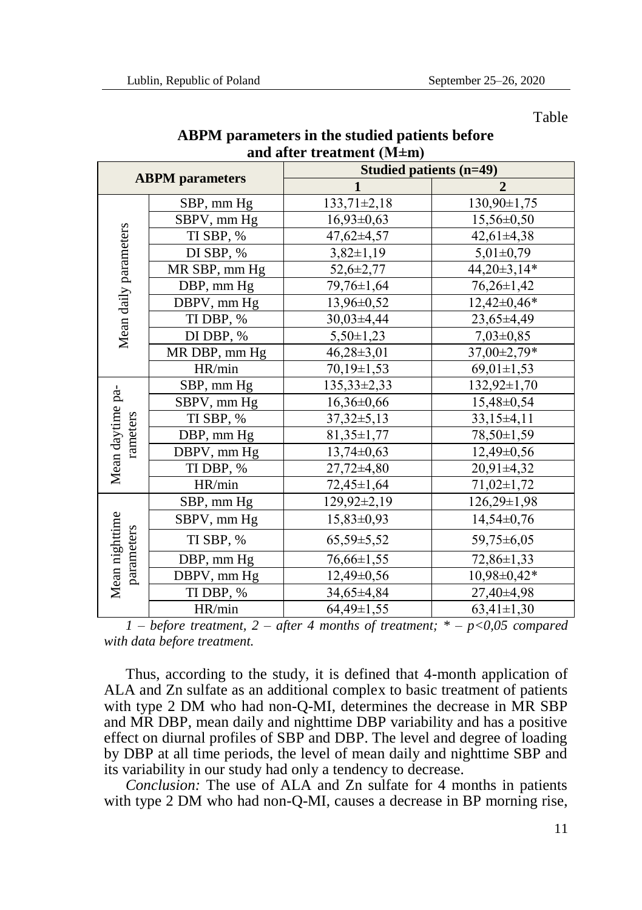Table

| and after treatment (M±m)    |               |                         |                   |
|------------------------------|---------------|-------------------------|-------------------|
| <b>ABPM</b> parameters       |               | Studied patients (n=49) |                   |
|                              |               | $\mathbf{1}$            | $\overline{2}$    |
| Mean daily parameters        | SBP, mm Hg    | $133,71 \pm 2,18$       | $130,90 \pm 1,75$ |
|                              | SBPV, mm Hg   | $16.93 \pm 0.63$        | 15,56±0,50        |
|                              | TI SBP, %     | 47,62±4,57              | $42,61\pm4,38$    |
|                              | DI SBP, %     | $3,82 \pm 1,19$         | $5,01\pm0,79$     |
|                              | MR SBP, mm Hg | $52,6 \pm 2,77$         | 44,20±3,14*       |
|                              | DBP, mm Hg    | 79,76±1,64              | $76,26 \pm 1,42$  |
|                              | DBPV, mm Hg   | 13,96±0,52              | $12,42\pm0,46*$   |
|                              | TI DBP, %     | 30,03±4,44              | $23,65\pm4,49$    |
|                              | DI DBP, %     | $5,50\pm1,23$           | $7.03 \pm 0.85$   |
|                              | MR DBP, mm Hg | 46,28±3,01              | 37,00±2,79*       |
|                              | HR/min        | $70.19 \pm 1.53$        | $69,01 \pm 1,53$  |
| Mean daytime pa-<br>rameters | SBP, mm Hg    | $135,33\pm2,33$         | 132,92±1,70       |
|                              | SBPV, mm Hg   | $16,36 \pm 0,66$        | $15,48 \pm 0,54$  |
|                              | TI SBP, %     | $37,32 \pm 5,13$        | $33,15\pm4,11$    |
|                              | DBP, mm Hg    | 81,35±1,77              | 78,50±1,59        |
|                              | DBPV, mm Hg   | $13,74\pm0,63$          | 12,49±0,56        |
|                              | TI DBP, %     | 27,72±4,80              | 20,91±4,32        |
|                              | HR/min        | 72,45±1,64              | 71,02±1,72        |
| Mean nighttime<br>parameters | SBP, mm Hg    | 129,92±2,19             | $126,29\pm1,98$   |
|                              | SBPV, mm Hg   | $15.83 \pm 0.93$        | $14.54 \pm 0.76$  |
|                              | TI SBP, %     | $65,59 \pm 5,52$        | 59,75±6,05        |
|                              | DBP, mm Hg    | 76,66±1,55              | 72,86±1,33        |
|                              | DBPV, mm Hg   | $12,49\pm0,56$          | $10,98 \pm 0,42*$ |
|                              | TI DBP, %     | 34,65±4,84              | 27,40±4,98        |
|                              | HR/min        | $64.49 \pm 1.55$        | $63,41 \pm 1,30$  |

## **ABPM parameters in the studied patients before and after treatment (M±m)**

*1 – before treatment, 2 – after 4 months of treatment; \* – p<0,05 compared with data before treatment.*

Thus, according to the study, it is defined that 4-month application of ALA and Zn sulfate as an additional complex to basic treatment of patients with type 2 DM who had non-Q-MI, determines the decrease in MR SBP and MR DBP, mean daily and nighttime DBP variability and has a positive effect on diurnal profiles of SBP and DBP. The level and degree of loading by DBP at all time periods, the level of mean daily and nighttime SBP and its variability in our study had only a tendency to decrease.

*Conclusion:* The use of ALA and Zn sulfate for 4 months in patients with type 2 DM who had non-Q-MI, causes a decrease in BP morning rise,